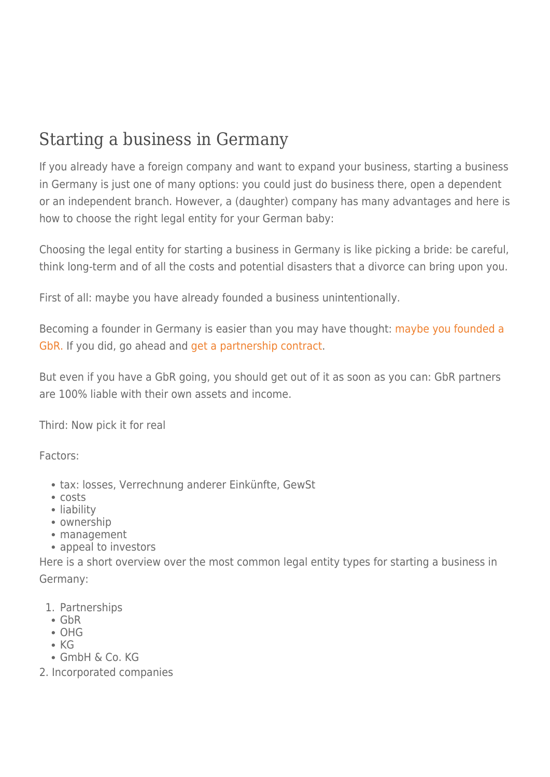## Starting a business in Germany

If you already have a foreign company and want to expand your business, starting a business in Germany is just one of many options: you could just do business there, open a dependent or an independent branch. However, a (daughter) company has many advantages and here is how to choose the right legal entity for your German baby:

Choosing the legal entity for starting a business in Germany is like picking a bride: be careful, think long-term and of all the costs and potential disasters that a divorce can bring upon you.

First of all: maybe you have already founded a business unintentionally.

Becoming a founder in Germany is easier than you may have thought: [maybe you founded a](https://rechtsanwaltstreiff.wordpress.com/2014/07/30/you-want-to-found-a-company-maybe-you-already-have/) [GbR.](https://rechtsanwaltstreiff.wordpress.com/2014/07/30/you-want-to-found-a-company-maybe-you-already-have/) If you did, go ahead and [get a partnership contract.](https://rechtsanwaltstreiff.wordpress.com/2014/07/30/just-realized-you-own-a-gbr-own-if-professionally/)

But even if you have a GbR going, you should get out of it as soon as you can: GbR partners are 100% liable with their own assets and income.

Third: Now pick it for real

Factors:

- tax: losses, Verrechnung anderer Einkünfte, GewSt
- costs
- liability
- ownership
- management
- appeal to investors

Here is a short overview over the most common legal entity types for starting a business in Germany:

- 1. Partnerships
- GbR
- OHG
- $\cdot$  KG
- GmbH & Co. KG
- 2. Incorporated companies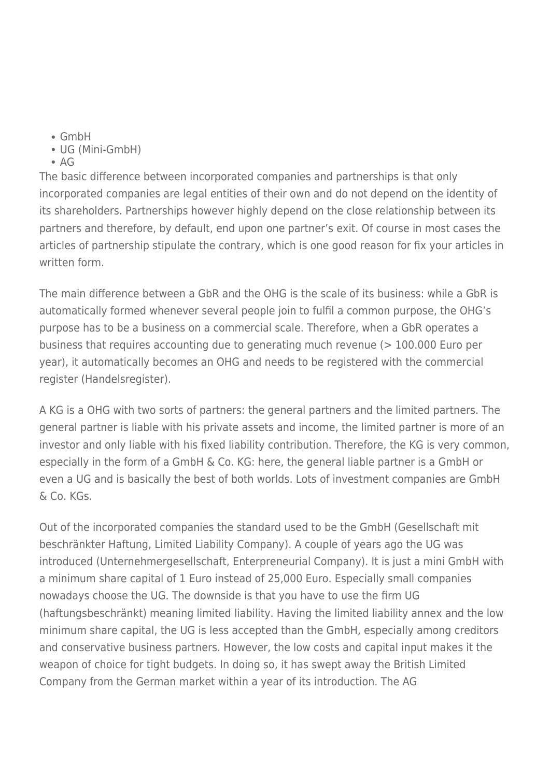- GmbH
- UG (Mini-GmbH)
- $\bullet$  AG

The basic difference between incorporated companies and partnerships is that only incorporated companies are legal entities of their own and do not depend on the identity of its shareholders. Partnerships however highly depend on the close relationship between its partners and therefore, by default, end upon one partner's exit. Of course in most cases the articles of partnership stipulate the contrary, which is one good reason for fix your articles in written form.

The main difference between a GbR and the OHG is the scale of its business: while a GbR is automatically formed whenever several people join to fulfil a common purpose, the OHG's purpose has to be a business on a commercial scale. Therefore, when a GbR operates a business that requires accounting due to generating much revenue (> 100.000 Euro per year), it automatically becomes an OHG and needs to be registered with the commercial register (Handelsregister).

A KG is a OHG with two sorts of partners: the general partners and the limited partners. The general partner is liable with his private assets and income, the limited partner is more of an investor and only liable with his fixed liability contribution. Therefore, the KG is very common, especially in the form of a GmbH & Co. KG: here, the general liable partner is a GmbH or even a UG and is basically the best of both worlds. Lots of investment companies are GmbH & Co. KGs.

Out of the incorporated companies the standard used to be the GmbH (Gesellschaft mit beschränkter Haftung, Limited Liability Company). A couple of years ago the UG was introduced (Unternehmergesellschaft, Enterpreneurial Company). It is just a mini GmbH with a minimum share capital of 1 Euro instead of 25,000 Euro. Especially small companies nowadays choose the UG. The downside is that you have to use the firm UG (haftungsbeschränkt) meaning limited liability. Having the limited liability annex and the low minimum share capital, the UG is less accepted than the GmbH, especially among creditors and conservative business partners. However, the low costs and capital input makes it the weapon of choice for tight budgets. In doing so, it has swept away the British Limited Company from the German market within a year of its introduction. The AG